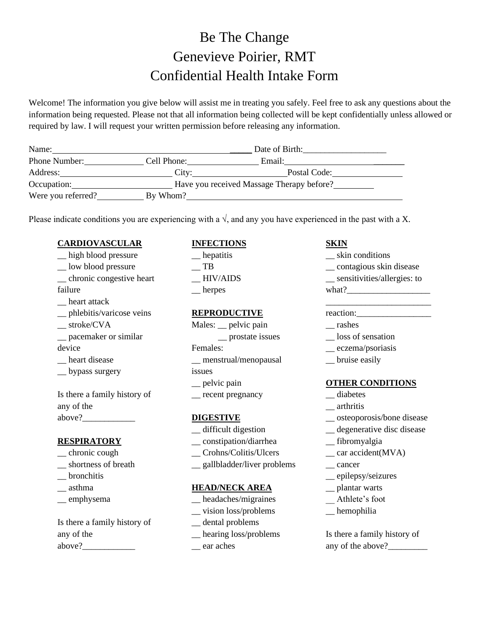## Be The Change Genevieve Poirier, RMT Confidential Health Intake Form

Welcome! The information you give below will assist me in treating you safely. Feel free to ask any questions about the information being requested. Please not that all information being collected will be kept confidentially unless allowed or required by law. I will request your written permission before releasing any information.

| Name:              | Date of Birth:                            |              |  |  |
|--------------------|-------------------------------------------|--------------|--|--|
| Phone Number:      | Cell Phone:                               | Email:       |  |  |
| Address:           | City:                                     | Postal Code: |  |  |
| Occupation:        | Have you received Massage Therapy before? |              |  |  |
| Were you referred? | By Whom?                                  |              |  |  |

Please indicate conditions you are experiencing with a  $\sqrt{ }$ , and any you have experienced in the past with a X.

### **CARDIOVASCULAR**

\_\_ high blood pressure \_\_ low blood pressure \_\_ chronic congestive heart failure \_\_ heart attack \_\_ phlebitis/varicose veins \_\_ stroke/CVA \_\_ pacemaker or similar device heart disease \_\_ bypass surgery Is there a family history of any of the above?

### **RESPIRATORY**

- \_\_ chronic cough
- \_\_ shortness of breath
- \_\_ bronchitis
- \_\_ asthma
- \_\_ emphysema

Is there a family history of any of the above?

## **INFECTIONS**

\_\_ hepatitis  $\overline{\phantom{a}}$  TB  $\_$  HIV/AIDS \_\_ herpes

## **REPRODUCTIVE**

- Males: \_\_ pelvic pain \_\_ prostate issues
- Females:
- \_\_ menstrual/menopausal

## issues

- \_\_ pelvic pain
- \_\_ recent pregnancy

## **DIGESTIVE**

- \_\_ difficult digestion
- \_\_ constipation/diarrhea
- \_\_ Crohns/Colitis/Ulcers
- \_\_ gallbladder/liver problems

### **HEAD/NECK AREA**

- \_\_ headaches/migraines
- \_\_ vision loss/problems
- \_\_ dental problems
- \_\_ hearing loss/problems
- \_\_ ear aches

## **SKIN**

\_\_ skin conditions \_\_ contagious skin disease \_\_ sensitivities/allergies: to what? $\frac{1}{2}$ 

\_\_\_\_\_\_\_\_\_\_\_\_\_\_\_\_\_\_\_\_\_\_\_\_

- reaction:
- \_\_ rashes
- \_\_ loss of sensation
- \_\_ eczema/psoriasis
- \_\_ bruise easily

## **OTHER CONDITIONS**

- \_\_ diabetes
- \_\_ arthritis
- \_\_ osteoporosis/bone disease
- \_\_ degenerative disc disease
- \_\_ fibromyalgia
- \_\_ car accident(MVA)
- \_\_ cancer
- \_\_ epilepsy/seizures
- \_\_ plantar warts
- \_\_ Athlete's foot
- hemophilia

Is there a family history of any of the above?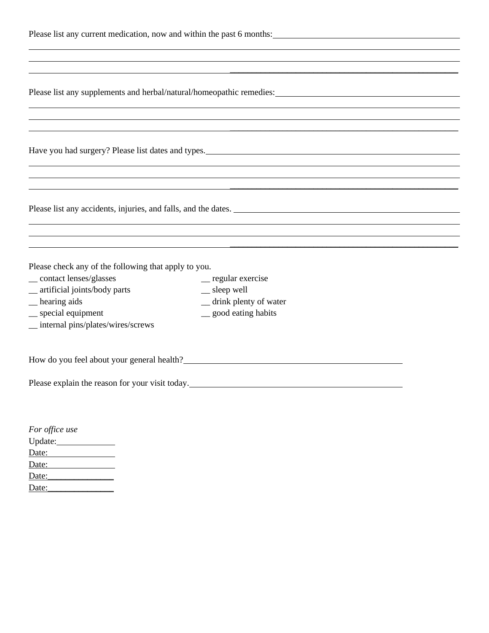| Please list any current medication, now and within the past 6 months: |  |  |
|-----------------------------------------------------------------------|--|--|
|-----------------------------------------------------------------------|--|--|

|  | Please list any supplements and herbal/natural/homeopathic remedies: |  |  |  |
|--|----------------------------------------------------------------------|--|--|--|
|  |                                                                      |  |  |  |

\_\_\_\_\_\_\_\_\_\_\_\_\_\_\_\_\_\_\_\_\_\_\_\_\_\_\_\_\_\_\_\_\_\_\_\_\_\_\_\_\_\_\_\_\_\_\_\_\_\_\_\_

\_\_\_\_\_\_\_\_\_\_\_\_\_\_\_\_\_\_\_\_\_\_\_\_\_\_\_\_\_\_\_\_\_\_\_\_\_\_\_\_\_\_\_\_\_\_\_\_\_\_\_\_

\_\_\_\_\_\_\_\_\_\_\_\_\_\_\_\_\_\_\_\_\_\_\_\_\_\_\_\_\_\_\_\_\_\_\_\_\_\_\_\_\_\_\_\_\_\_\_\_\_\_\_\_

\_\_\_\_\_\_\_\_\_\_\_\_\_\_\_\_\_\_\_\_\_\_\_\_\_\_\_\_\_\_\_\_\_\_\_\_\_\_\_\_\_\_\_\_\_\_\_\_\_\_\_\_

Have you had surgery? Please list dates and types.

Please list any accidents, injuries, and falls, and the dates.

Please check any of the following that apply to you.

- \_\_ contact lenses/glasses \_\_ regular exercise
- \_\_ artificial joints/body parts \_\_ sleep well
- \_\_ hearing aids \_\_ drink plenty of water
- \_\_ special equipment \_\_ good eating habits
- \_\_ internal pins/plates/wires/screws

How do you feel about your general health?<br>
<u>Letter and the substitute of the substitute of the substitute of the substitute</u> of the substitute of the substitute of the substitute of the substitute of the substitute of the

Please explain the reason for your visit today.

| For office use |
|----------------|
| Update:        |
| Date:          |
| Date:          |
| Date:          |
| Date:          |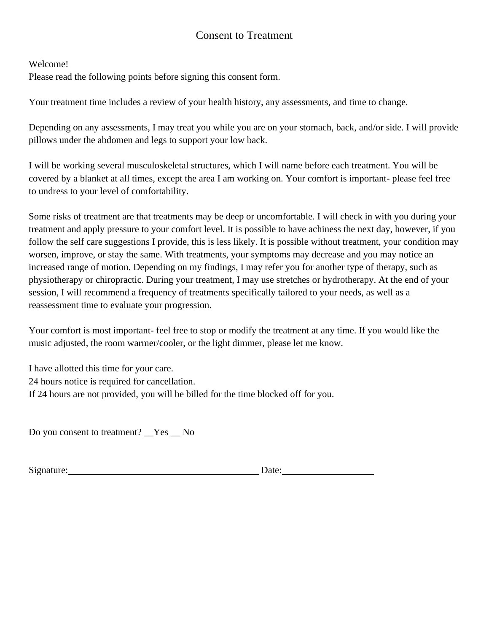## Consent to Treatment

Welcome!

Please read the following points before signing this consent form.

Your treatment time includes a review of your health history, any assessments, and time to change.

Depending on any assessments, I may treat you while you are on your stomach, back, and/or side. I will provide pillows under the abdomen and legs to support your low back.

I will be working several musculoskeletal structures, which I will name before each treatment. You will be covered by a blanket at all times, except the area I am working on. Your comfort is important- please feel free to undress to your level of comfortability.

Some risks of treatment are that treatments may be deep or uncomfortable. I will check in with you during your treatment and apply pressure to your comfort level. It is possible to have achiness the next day, however, if you follow the self care suggestions I provide, this is less likely. It is possible without treatment, your condition may worsen, improve, or stay the same. With treatments, your symptoms may decrease and you may notice an increased range of motion. Depending on my findings, I may refer you for another type of therapy, such as physiotherapy or chiropractic. During your treatment, I may use stretches or hydrotherapy. At the end of your session, I will recommend a frequency of treatments specifically tailored to your needs, as well as a reassessment time to evaluate your progression.

Your comfort is most important- feel free to stop or modify the treatment at any time. If you would like the music adjusted, the room warmer/cooler, or the light dimmer, please let me know.

I have allotted this time for your care. 24 hours notice is required for cancellation. If 24 hours are not provided, you will be billed for the time blocked off for you.

Do you consent to treatment? Yes No

Signature: Date: Date: Date: Date: Date: Date: Date: Date: Date: Date: Date: Date: Date: Date: Date: Date: Date: Date: Date: Date: Date: Date: Date: Date: Date: Date: Date: Date: Date: Date: Date: Date: Date: Date: Date: D